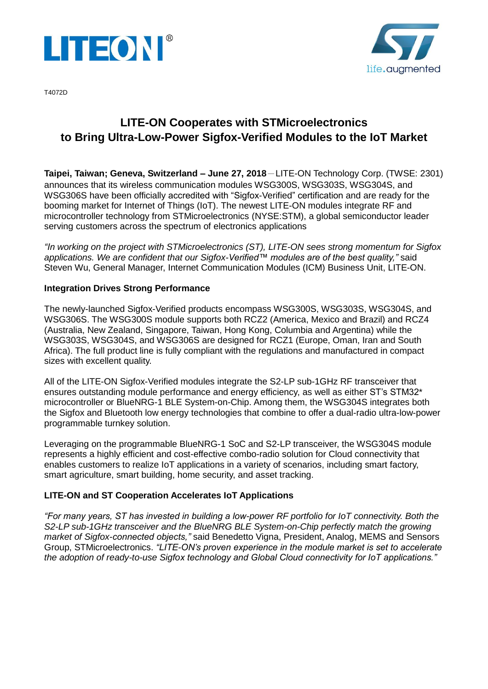



T4072D

# **LITE-ON Cooperates with STMicroelectronics to Bring Ultra-Low-Power Sigfox-Verified Modules to the IoT Market**

**Taipei, Taiwan; Geneva, Switzerland – June 27, 2018**-LITE-ON Technology Corp. (TWSE: 2301) announces that its wireless communication modules WSG300S, WSG303S, WSG304S, and WSG306S have been officially accredited with "Sigfox-Verified" certification and are ready for the booming market for Internet of Things (IoT). The newest LITE-ON modules integrate RF and microcontroller technology from STMicroelectronics (NYSE:STM), a global semiconductor leader serving customers across the spectrum of electronics applications

*"In working on the project with STMicroelectronics (ST), LITE-ON sees strong momentum for Sigfox applications. We are confident that our Sigfox-Verified™ modules are of the best quality,"* said Steven Wu, General Manager, Internet Communication Modules (ICM) Business Unit, LITE-ON.

# **Integration Drives Strong Performance**

The newly-launched Sigfox-Verified products encompass WSG300S, WSG303S, WSG304S, and WSG306S. The WSG300S module supports both RCZ2 (America, Mexico and Brazil) and RCZ4 (Australia, New Zealand, Singapore, Taiwan, Hong Kong, Columbia and Argentina) while the WSG303S, WSG304S, and WSG306S are designed for RCZ1 (Europe, Oman, Iran and South Africa). The full product line is fully compliant with the regulations and manufactured in compact sizes with excellent quality.

All of the LITE-ON Sigfox-Verified modules integrate the S2-LP sub-1GHz RF transceiver that ensures outstanding module performance and energy efficiency, as well as either ST's STM32\* microcontroller or BlueNRG-1 BLE System-on-Chip. Among them, the WSG304S integrates both the Sigfox and Bluetooth low energy technologies that combine to offer a dual-radio ultra-low-power programmable turnkey solution.

Leveraging on the programmable BlueNRG-1 SoC and S2-LP transceiver, the WSG304S module represents a highly efficient and cost-effective combo-radio solution for Cloud connectivity that enables customers to realize IoT applications in a variety of scenarios, including smart factory, smart agriculture, smart building, home security, and asset tracking.

### **LITE-ON and ST Cooperation Accelerates IoT Applications**

*"For many years, ST has invested in building a low-power RF portfolio for IoT connectivity. Both the S2-LP sub-1GHz transceiver and the BlueNRG BLE System-on-Chip perfectly match the growing market of Sigfox-connected objects,"* said Benedetto Vigna, President, Analog, MEMS and Sensors Group, STMicroelectronics. *"LITE-ON's proven experience in the module market is set to accelerate the adoption of ready-to-use Sigfox technology and Global Cloud connectivity for IoT applications."*